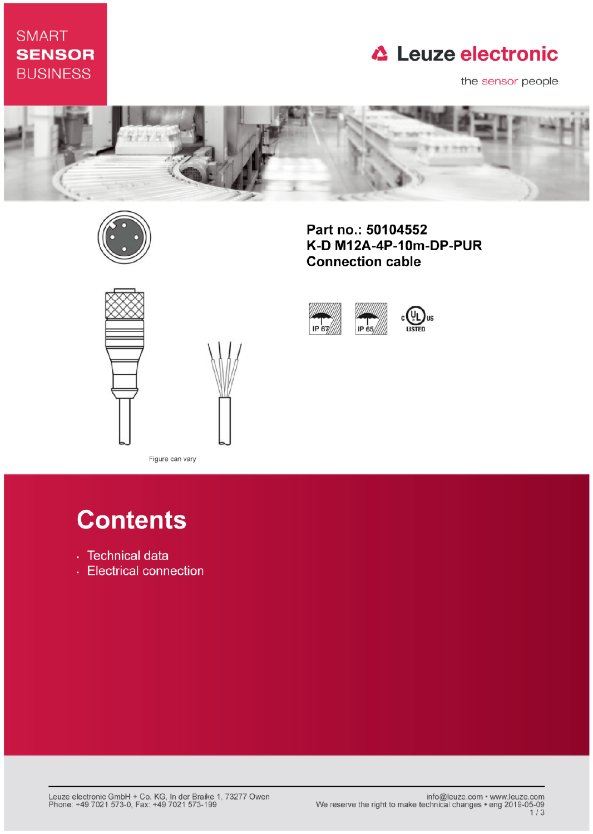## **SMART SENSOR BUSINESS**

# **△ Leuze electronic**

the sensor people



IP 67

IP 65



Part no.: 50104552 K-D M12A-4P-10m-DP-PUR **Connection cable** 





Figure can vary

# **Contents**

- · Technical data
- Electrical connection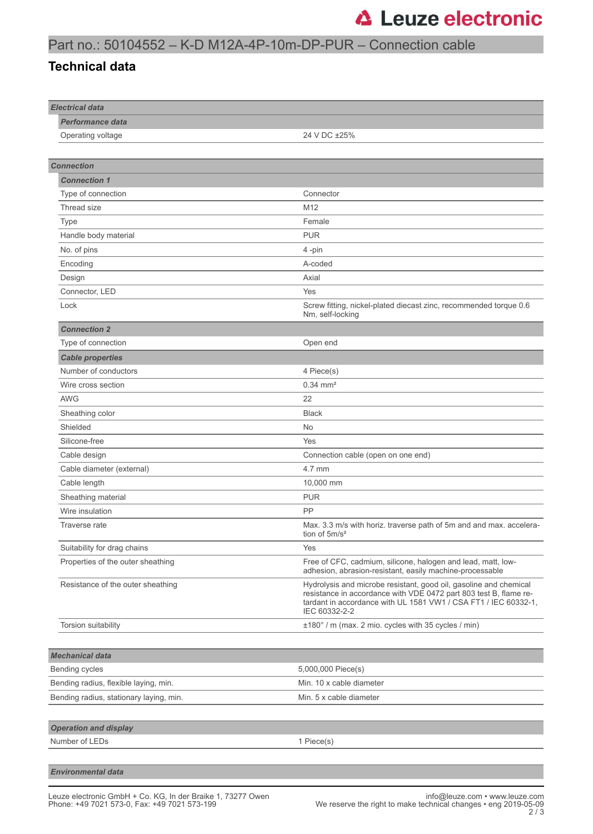### Part no.: 50104552 – K-D M12A-4P-10m-DP-PUR – Connection cable

#### **Technical data**

| <b>Electrical data</b>                  |                                                                                                                                                                                                                            |
|-----------------------------------------|----------------------------------------------------------------------------------------------------------------------------------------------------------------------------------------------------------------------------|
| <b>Performance data</b>                 |                                                                                                                                                                                                                            |
| Operating voltage                       | 24 V DC ±25%                                                                                                                                                                                                               |
|                                         |                                                                                                                                                                                                                            |
| <b>Connection</b>                       |                                                                                                                                                                                                                            |
| <b>Connection 1</b>                     |                                                                                                                                                                                                                            |
| Type of connection                      | Connector                                                                                                                                                                                                                  |
| Thread size                             | M <sub>12</sub>                                                                                                                                                                                                            |
| Type                                    | Female                                                                                                                                                                                                                     |
| Handle body material                    | <b>PUR</b>                                                                                                                                                                                                                 |
| No. of pins                             | 4-pin                                                                                                                                                                                                                      |
| Encoding                                | A-coded                                                                                                                                                                                                                    |
| Design                                  | Axial                                                                                                                                                                                                                      |
| Connector, LED                          | Yes                                                                                                                                                                                                                        |
| Lock                                    | Screw fitting, nickel-plated diecast zinc, recommended torque 0.6<br>Nm, self-locking                                                                                                                                      |
| <b>Connection 2</b>                     |                                                                                                                                                                                                                            |
| Type of connection                      | Open end                                                                                                                                                                                                                   |
| <b>Cable properties</b>                 |                                                                                                                                                                                                                            |
| Number of conductors                    | 4 Piece(s)                                                                                                                                                                                                                 |
| Wire cross section                      | $0.34 \, \text{mm}^2$                                                                                                                                                                                                      |
| <b>AWG</b>                              | 22                                                                                                                                                                                                                         |
| Sheathing color                         | <b>Black</b>                                                                                                                                                                                                               |
| Shielded                                | <b>No</b>                                                                                                                                                                                                                  |
| Silicone-free                           | Yes                                                                                                                                                                                                                        |
| Cable design                            | Connection cable (open on one end)                                                                                                                                                                                         |
| Cable diameter (external)               | 4.7 mm                                                                                                                                                                                                                     |
| Cable length                            | 10,000 mm                                                                                                                                                                                                                  |
| Sheathing material                      | <b>PUR</b>                                                                                                                                                                                                                 |
| Wire insulation                         | <b>PP</b>                                                                                                                                                                                                                  |
| Traverse rate                           | Max. 3.3 m/s with horiz. traverse path of 5m and and max. accelera-<br>tion of $5m/s^2$                                                                                                                                    |
| Suitability for drag chains             | Yes                                                                                                                                                                                                                        |
| Properties of the outer sheathing       | Free of CFC, cadmium, silicone, halogen and lead, matt, low-<br>adhesion, abrasion-resistant, easily machine-processable                                                                                                   |
| Resistance of the outer sheathing       | Hydrolysis and microbe resistant, good oil, gasoline and chemical<br>resistance in accordance with VDE 0472 part 803 test B, flame re-<br>tardant in accordance with UL 1581 VW1 / CSA FT1 / IEC 60332-1,<br>IEC 60332-2-2 |
| Torsion suitability                     | ±180° / m (max. 2 mio. cycles with 35 cycles / min)                                                                                                                                                                        |
|                                         |                                                                                                                                                                                                                            |
| <b>Mechanical data</b>                  |                                                                                                                                                                                                                            |
| Bending cycles                          | 5,000,000 Piece(s)                                                                                                                                                                                                         |
| Bending radius, flexible laying, min.   | Min. 10 x cable diameter                                                                                                                                                                                                   |
| Bending radius, stationary laying, min. | Min. 5 x cable diameter                                                                                                                                                                                                    |
|                                         |                                                                                                                                                                                                                            |
| <b>Operation and display</b>            |                                                                                                                                                                                                                            |
| Number of LEDs                          | 1 Piece(s)                                                                                                                                                                                                                 |
|                                         |                                                                                                                                                                                                                            |
| <b>Environmental data</b>               |                                                                                                                                                                                                                            |